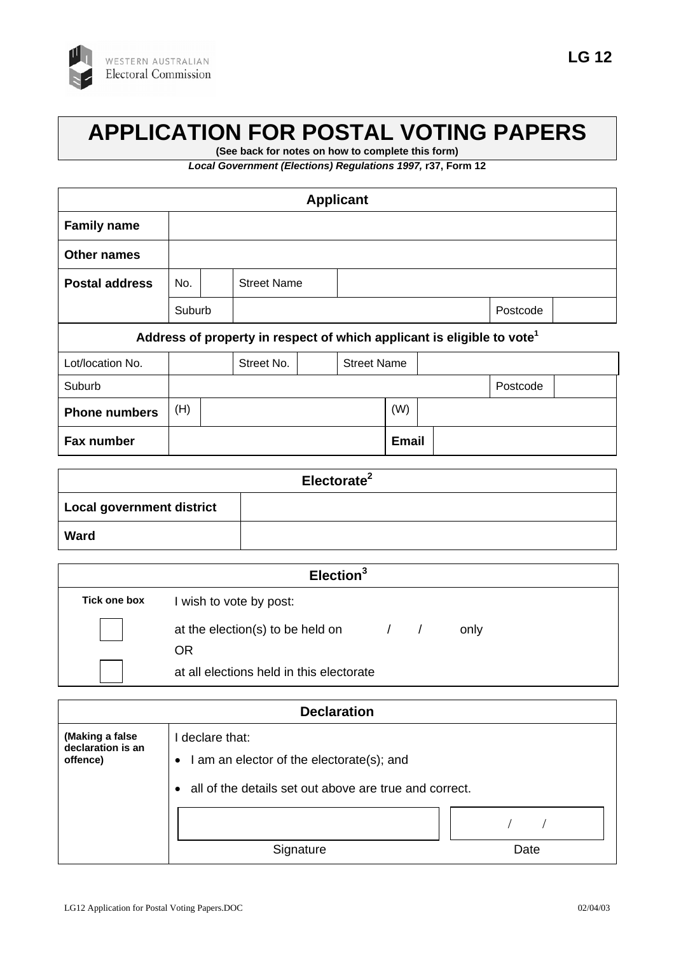

## **APPLICATION FOR POSTAL VOTING PAPERS**

**(See back for notes on how to complete this form)**

*Local Government (Elections) Regulations 1997,* **r37, Form 12**

| <b>Applicant</b>                                                                   |            |                    |  |                    |  |              |  |  |  |
|------------------------------------------------------------------------------------|------------|--------------------|--|--------------------|--|--------------|--|--|--|
| <b>Family name</b>                                                                 |            |                    |  |                    |  |              |  |  |  |
| <b>Other names</b>                                                                 |            |                    |  |                    |  |              |  |  |  |
| <b>Postal address</b>                                                              | No.        | <b>Street Name</b> |  |                    |  |              |  |  |  |
|                                                                                    | Suburb     |                    |  |                    |  | Postcode     |  |  |  |
| Address of property in respect of which applicant is eligible to vote <sup>1</sup> |            |                    |  |                    |  |              |  |  |  |
| Lot/location No.                                                                   | Street No. |                    |  | <b>Street Name</b> |  |              |  |  |  |
| Suburb                                                                             | Postcode   |                    |  |                    |  |              |  |  |  |
| <b>Phone numbers</b>                                                               | (H)        |                    |  |                    |  | (W)          |  |  |  |
| Fax number                                                                         |            |                    |  |                    |  | <b>Email</b> |  |  |  |

| Electorate <sup>2</sup>   |  |  |
|---------------------------|--|--|
| Local government district |  |  |
| Ward                      |  |  |

| Election <sup>3</sup> |                                                |  |  |
|-----------------------|------------------------------------------------|--|--|
| Tick one box          | I wish to vote by post:                        |  |  |
|                       | at the election(s) to be held on<br>only<br>OR |  |  |
|                       | at all elections held in this electorate       |  |  |

| <b>Declaration</b>                               |                                                                                                                                     |      |  |  |  |  |  |
|--------------------------------------------------|-------------------------------------------------------------------------------------------------------------------------------------|------|--|--|--|--|--|
| (Making a false<br>declaration is an<br>offence) | I declare that:<br>I am an elector of the electorate(s); and<br>$\bullet$<br>all of the details set out above are true and correct. |      |  |  |  |  |  |
|                                                  | Signature                                                                                                                           | Date |  |  |  |  |  |